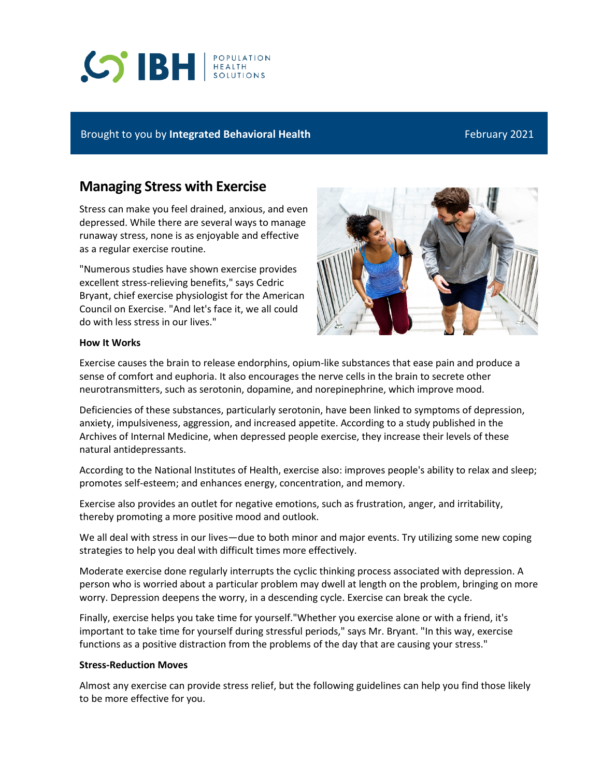# **CO'IBH REALTH**

# Brought to you by **Integrated Behavioral Health** February 2021

# **Managing Stress with Exercise**

Stress can make you feel drained, anxious, and even depressed. While there are several ways to manage runaway stress, none is as enjoyable and effective as a regular exercise routine.

"Numerous studies have shown exercise provides excellent stress-relieving benefits," says Cedric Bryant, chief exercise physiologist for the American Council on Exercise. "And let's face it, we all could do with less stress in our lives."



## **How It Works**

Exercise causes the brain to release endorphins, opium-like substances that ease pain and produce a sense of comfort and euphoria. It also encourages the nerve cells in the brain to secrete other neurotransmitters, such as serotonin, dopamine, and norepinephrine, which improve mood.

Deficiencies of these substances, particularly serotonin, have been linked to symptoms of depression, anxiety, impulsiveness, aggression, and increased appetite. According to a study published in the Archives of Internal Medicine, when depressed people exercise, they increase their levels of these natural antidepressants.

According to the National Institutes of Health, exercise also: improves people's ability to relax and sleep; promotes self-esteem; and enhances energy, concentration, and memory.

Exercise also provides an outlet for negative emotions, such as frustration, anger, and irritability, thereby promoting a more positive mood and outlook.

We all deal with stress in our lives—due to both minor and major events. Try utilizing some new coping strategies to help you deal with difficult times more effectively.

Moderate exercise done regularly interrupts the cyclic thinking process associated with depression. A person who is worried about a particular problem may dwell at length on the problem, bringing on more worry. Depression deepens the worry, in a descending cycle. Exercise can break the cycle.

Finally, exercise helps you take time for yourself."Whether you exercise alone or with a friend, it's important to take time for yourself during stressful periods," says Mr. Bryant. "In this way, exercise functions as a positive distraction from the problems of the day that are causing your stress."

### **Stress-Reduction Moves**

Almost any exercise can provide stress relief, but the following guidelines can help you find those likely to be more effective for you.